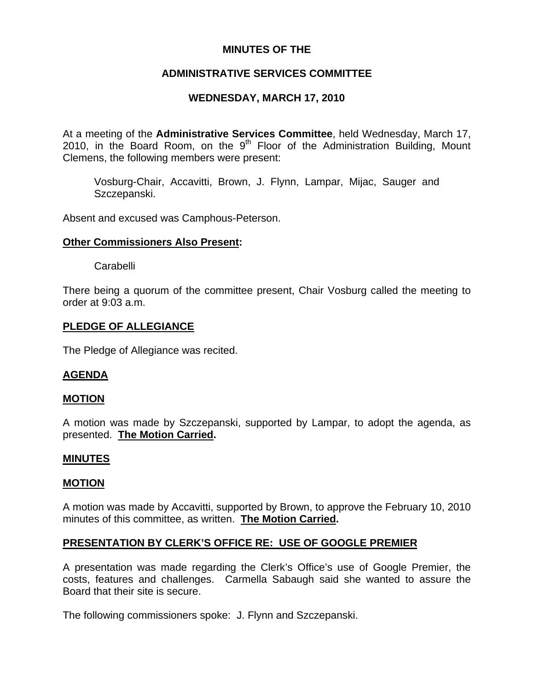## **MINUTES OF THE**

# **ADMINISTRATIVE SERVICES COMMITTEE**

# **WEDNESDAY, MARCH 17, 2010**

At a meeting of the **Administrative Services Committee**, held Wednesday, March 17, 2010, in the Board Room, on the  $9<sup>th</sup>$  Floor of the Administration Building, Mount Clemens, the following members were present:

Vosburg-Chair, Accavitti, Brown, J. Flynn, Lampar, Mijac, Sauger and Szczepanski.

Absent and excused was Camphous-Peterson.

### **Other Commissioners Also Present:**

Carabelli

There being a quorum of the committee present, Chair Vosburg called the meeting to order at 9:03 a.m.

## **PLEDGE OF ALLEGIANCE**

The Pledge of Allegiance was recited.

## **AGENDA**

## **MOTION**

A motion was made by Szczepanski, supported by Lampar, to adopt the agenda, as presented. **The Motion Carried.** 

#### **MINUTES**

#### **MOTION**

A motion was made by Accavitti, supported by Brown, to approve the February 10, 2010 minutes of this committee, as written. **The Motion Carried.** 

## **PRESENTATION BY CLERK'S OFFICE RE: USE OF GOOGLE PREMIER**

A presentation was made regarding the Clerk's Office's use of Google Premier, the costs, features and challenges. Carmella Sabaugh said she wanted to assure the Board that their site is secure.

The following commissioners spoke: J. Flynn and Szczepanski.